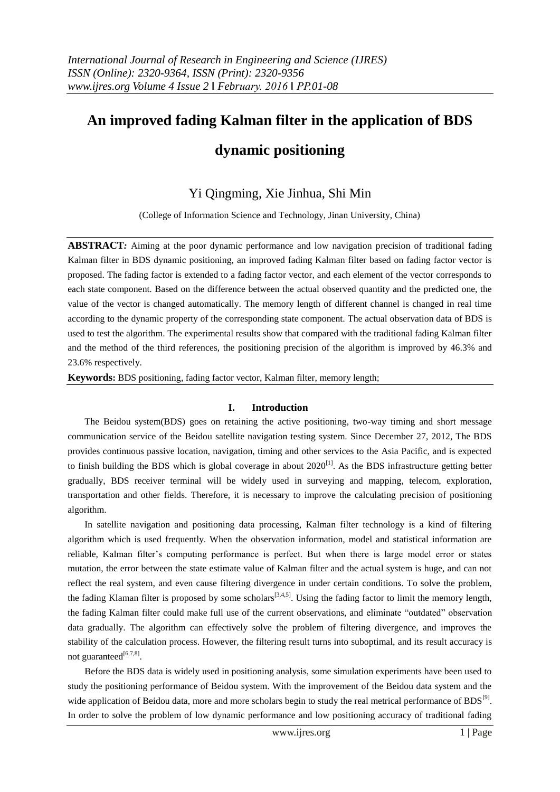# **An improved fading Kalman filter in the application of BDS dynamic positioning**

# Yi Qingming, Xie Jinhua, Shi Min

(College of Information Science and Technology, Jinan University, China)

**ABSTRACT***:* Aiming at the poor dynamic performance and low navigation precision of traditional fading Kalman filter in BDS dynamic positioning, an improved fading Kalman filter based on fading factor vector is proposed. The fading factor is extended to a fading factor vector, and each element of the vector corresponds to each state component. Based on the difference between the actual observed quantity and the predicted one, the value of the vector is changed automatically. The memory length of different channel is changed in real time according to the dynamic property of the corresponding state component. The actual observation data of BDS is used to test the algorithm. The experimental results show that compared with the traditional fading Kalman filter and the method of the third references, the positioning precision of the algorithm is improved by 46.3% and 23.6% respectively.

**Keywords:** BDS positioning, fading factor vector, Kalman filter, memory length;

# **I. Introduction**

The Beidou system(BDS) goes on retaining the active positioning, two-way timing and short message communication service of the Beidou satellite navigation testing system. Since December 27, 2012, The BDS provides continuous passive location, navigation, timing and other services to the Asia Pacific, and is expected to finish building the BDS which is global coverage in about  $2020^{[1]}$ . As the BDS infrastructure getting better gradually, BDS receiver terminal will be widely used in surveying and mapping, telecom, exploration, transportation and other fields. Therefore, it is necessary to improve the calculating precision of positioning algorithm.

In satellite navigation and positioning data processing, Kalman filter technology is a kind of filtering algorithm which is used frequently. When the observation information, model and statistical information are reliable, Kalman filter's computing performance is perfect. But when there is large model error or states mutation, the error between the state estimate value of Kalman filter and the actual system is huge, and can not reflect the real system, and even cause filtering divergence in under certain conditions. To solve the problem, the fading Klaman filter is proposed by some scholars<sup>[3,4,5]</sup>. Using the fading factor to limit the memory length, the fading Kalman filter could make full use of the current observations, and eliminate "outdated" observation data gradually. The algorithm can effectively solve the problem of filtering divergence, and improves the stability of the calculation process. However, the filtering result turns into suboptimal, and its result accuracy is not guaranteed<sup>[6,7,8]</sup>.

Before the BDS data is widely used in positioning analysis, some simulation experiments have been used to study the positioning performance of Beidou system. With the improvement of the Beidou data system and the wide application of Beidou data, more and more scholars begin to study the real metrical performance of  $BDS^{[9]}$ . In order to solve the problem of low dynamic performance and low positioning accuracy of traditional fading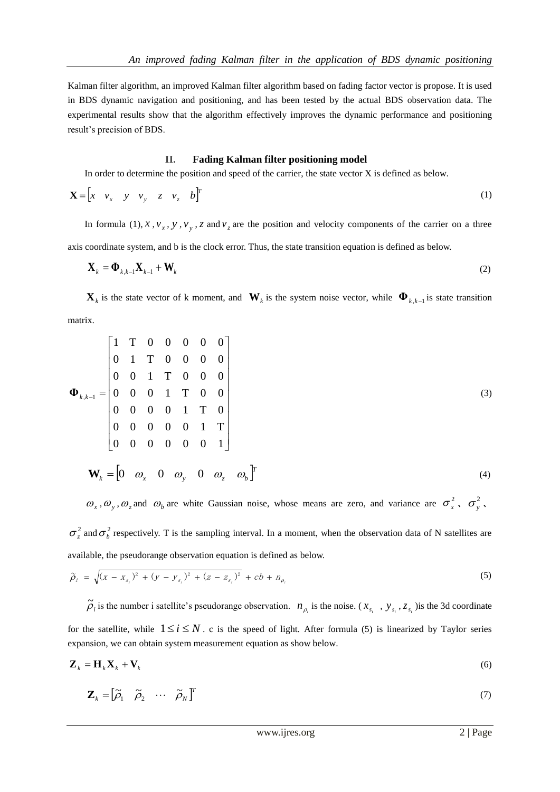Kalman filter algorithm, an improved Kalman filter algorithm based on fading factor vector is propose. It is used in BDS dynamic navigation and positioning, and has been tested by the actual BDS observation data. The experimental results show that the algorithm effectively improves the dynamic performance and positioning result's precision of BDS.

# **II. Fading Kalman filter positioning model**

In order to determine the position and speed of the carrier, the state vector X is defined as below.

$$
\mathbf{X} = \begin{bmatrix} x & v_x & y & v_y & z & v_z & b \end{bmatrix}^T \tag{1}
$$

In formula (1), x,  $v_x$ , y,  $v_y$ , z and  $v_z$  are the position and velocity components of the carrier on a three axis coordinate system, and b is the clock error. Thus, the state transition equation is defined as below.

$$
\mathbf{X}_{k} = \mathbf{\Phi}_{k,k-1} \mathbf{X}_{k-1} + \mathbf{W}_{k}
$$
 (2)

 $\mathbf{X}_k$  is the state vector of k moment, and  $\mathbf{W}_k$  is the system noise vector, while  $\mathbf{\Phi}_{k,k-1}$  is state transition matrix.

$$
\mathbf{\Phi}_{k,k-1} = \begin{bmatrix}\n1 & T & 0 & 0 & 0 & 0 & 0 \\
0 & 1 & T & 0 & 0 & 0 & 0 \\
0 & 0 & 1 & T & 0 & 0 & 0 \\
0 & 0 & 0 & 1 & T & 0 & 0 \\
0 & 0 & 0 & 0 & 1 & T & 0 \\
0 & 0 & 0 & 0 & 0 & 1 & T \\
0 & 0 & 0 & 0 & 0 & 0 & 1\n\end{bmatrix}
$$
\n(3)\n
$$
\mathbf{W}_k = \begin{bmatrix}\n0 & \omega_x & 0 & \omega_y & 0 & \omega_z & \omega_b\n\end{bmatrix}^T
$$

 $\omega_x$ ,  $\omega_y$ ,  $\omega_z$  and  $\omega_b$  are white Gaussian noise, whose means are zero, and variance are  $\sigma_x^2$ ,  $\sigma_y^2$ ,

 $\sigma_z^2$  and  $\sigma_b^2$  respectively. T is the sampling interval. In a moment, when the observation data of N satellites are available, the pseudorange observation equation is defined as below.

$$
\widetilde{\rho}_i = \sqrt{(x - x_{s_i})^2 + (y - y_{s_i})^2 + (z - z_{s_i})^2} + cb + n_{\rho_i}
$$
\n(5)

 $\tilde{\rho}_i$  is the number i satellite's pseudorange observation.  $n_{\rho_i}$  is the noise. ( $x_{s_i}$ ,  $y_{s_i}$ ,  $z_{s_i}$ ) is the 3d coordinate for the satellite, while  $1 \le i \le N$ . c is the speed of light. After formula (5) is linearized by Taylor series expansion, we can obtain system measurement equation as show below.

$$
\mathbf{Z}_k = \mathbf{H}_k \mathbf{X}_k + \mathbf{V}_k \tag{6}
$$

$$
\mathbf{Z}_{k} = \begin{bmatrix} \widetilde{\rho}_{1} & \widetilde{\rho}_{2} & \cdots & \widetilde{\rho}_{N} \end{bmatrix}^{T}
$$
 (7)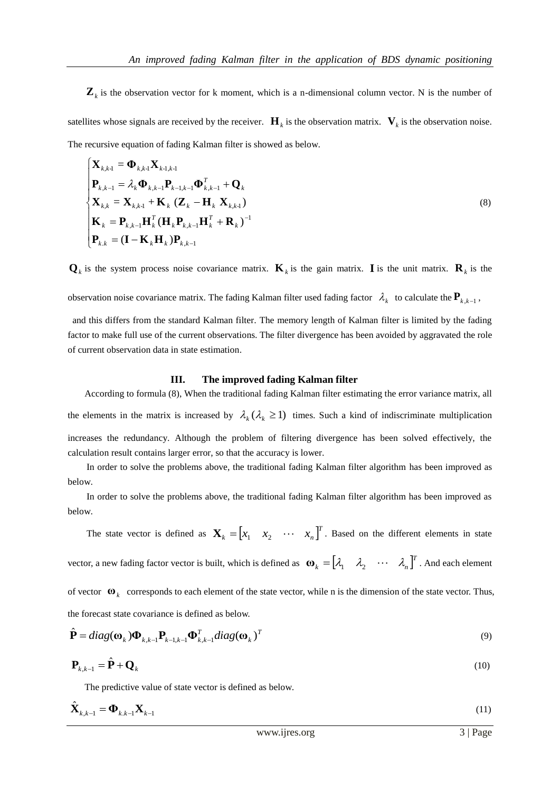$\mathbf{Z}_k$  is the observation vector for k moment, which is a n-dimensional column vector. N is the number of satellites whose signals are received by the receiver.  $\mathbf{H}_k$  is the observation matrix.  $\mathbf{V}_k$  is the observation noise. The recursive equation of fading Kalman filter is showed as below.

$$
\begin{cases}\n\mathbf{X}_{k,k-1} = \mathbf{\Phi}_{k,k-1} \mathbf{X}_{k-1,k-1} \\
\mathbf{P}_{k,k-1} = \lambda_k \mathbf{\Phi}_{k,k-1} \mathbf{P}_{k-1,k-1} \mathbf{\Phi}_{k,k-1}^T + \mathbf{Q}_k \\
\mathbf{X}_{k,k} = \mathbf{X}_{k,k-1} + \mathbf{K}_k (\mathbf{Z}_k - \mathbf{H}_k \mathbf{X}_{k,k-1}) \\
\mathbf{K}_k = \mathbf{P}_{k,k-1} \mathbf{H}_k^T (\mathbf{H}_k \mathbf{P}_{k,k-1} \mathbf{H}_k^T + \mathbf{R}_k)^{-1} \\
\mathbf{P}_{k,k} = (\mathbf{I} - \mathbf{K}_k \mathbf{H}_k) \mathbf{P}_{k,k-1}\n\end{cases}
$$
\n(8)

 $\mathbf{Q}_k$  is the system process noise covariance matrix.  $\mathbf{K}_k$  is the gain matrix. **I** is the unit matrix.  $\mathbf{R}_k$  is the

observation noise covariance matrix. The fading Kalman filter used fading factor  $\lambda_k$  to calculate the  $P_{k,k-1}$ ,

and this differs from the standard Kalman filter. The memory length of Kalman filter is limited by the fading factor to make full use of the current observations. The filter divergence has been avoided by aggravated the role of current observation data in state estimation.

#### **III. The improved fading Kalman filter**

According to formula (8), When the traditional fading Kalman filter estimating the error variance matrix, all the elements in the matrix is increased by  $\lambda_k(\lambda_k \ge 1)$  times. Such a kind of indiscriminate multiplication increases the redundancy. Although the problem of filtering divergence has been solved effectively, the calculation result contains larger error, so that the accuracy is lower.

In order to solve the problems above, the traditional fading Kalman filter algorithm has been improved as below.

In order to solve the problems above, the traditional fading Kalman filter algorithm has been improved as below.

The state vector is defined as  $\mathbf{X}_k = \begin{bmatrix} x_1 & x_2 & \cdots & x_n \end{bmatrix}^T$  $\mathbf{X}_k = \begin{bmatrix} x_1 & x_2 & \cdots & x_n \end{bmatrix}^T$ . Based on the different elements in state vector, a new fading factor vector is built, which is defined as  $\mathbf{\omega}_k = \begin{bmatrix} \lambda_1 & \lambda_2 & \cdots & \lambda_n \end{bmatrix}^T$ . And each element of vector  $\mathbf{\omega}_k$  corresponds to each element of the state vector, while n is the dimension of the state vector. Thus, the forecast state covariance is defined as below.

$$
\hat{\mathbf{P}} = diag(\mathbf{\omega}_{k})\mathbf{\Phi}_{k,k-1}\mathbf{P}_{k-1,k-1}\mathbf{\Phi}_{k,k-1}^{T}diag(\mathbf{\omega}_{k})^{T}
$$
\n(9)

$$
\mathbf{P}_{k,k-1} = \hat{\mathbf{P}} + \mathbf{Q}_k \tag{10}
$$

The predictive value of state vector is defined as below.

$$
\hat{\mathbf{X}}_{k,k-1} = \mathbf{\Phi}_{k,k-1} \mathbf{X}_{k-1}
$$
\n(11)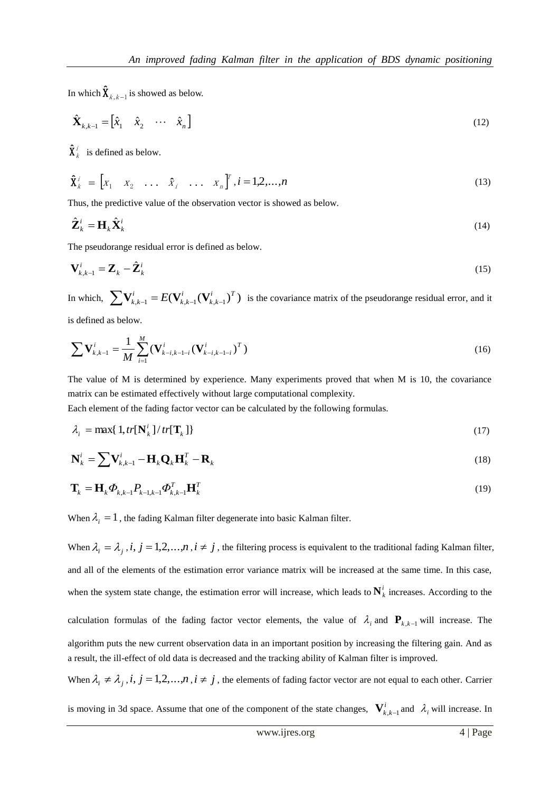In which  $\mathbf{\hat{X}}_{k,k-1}$  is showed as below.

$$
\hat{\mathbf{X}}_{k,k-1} = \begin{bmatrix} \hat{x}_1 & \hat{x}_2 & \cdots & \hat{x}_n \end{bmatrix}
$$
 (12)

 $\mathbf{\hat{X}}_k^i$  is defined as below.

$$
\hat{\mathbf{X}}_k^i = \begin{bmatrix} x_1 & x_2 & \dots & \hat{x}_i & \dots & x_n \end{bmatrix}^T, i = 1, 2, \dots, n
$$
 (13)

Thus, the predictive value of the observation vector is showed as below.

$$
\hat{\mathbf{Z}}_k^i = \mathbf{H}_k \hat{\mathbf{X}}_k^i \tag{14}
$$

The pseudorange residual error is defined as below.

$$
\mathbf{V}_{k,k-1}^i = \mathbf{Z}_k - \hat{\mathbf{Z}}_k^i
$$
 (15)

In which,  $\sum \mathbf{V}_{k,k-1}^i = E(\mathbf{V}_{k,k-1}^i(\mathbf{V}_{k,k-1}^i)^T)$ *i T k k i*  $\sum_{k,k} \mathbf{V}_{k,k-1}^i = E(\mathbf{V}_{k,k-1}^i(\mathbf{V}_{k,k-1}^i)^T)$  is the covariance matrix of the pseudorange residual error, and it

is defined as below.

$$
\sum \mathbf{V}_{k,k-1}^{i} = \frac{1}{M} \sum_{i=1}^{M} (\mathbf{V}_{k-i,k-1-i}^{i} (\mathbf{V}_{k-i,k-1-i}^{i})^{T})
$$
(16)

The value of M is determined by experience. Many experiments proved that when M is 10, the covariance matrix can be estimated effectively without large computational complexity.

Each element of the fading factor vector can be calculated by the following formulas.

$$
\lambda_i = \max\{1, tr[\mathbf{N}_k^i]/tr[\mathbf{T}_k]\}\tag{17}
$$

$$
\mathbf{N}_k^i = \sum \mathbf{V}_{k,k-1}^i - \mathbf{H}_k \mathbf{Q}_k \mathbf{H}_k^T - \mathbf{R}_k
$$
\n(18)

$$
\mathbf{T}_{k} = \mathbf{H}_{k} \boldsymbol{\Phi}_{k,k-1} P_{k-1,k-1} \boldsymbol{\Phi}_{k,k-1}^{T} \mathbf{H}_{k}^{T}
$$
\n(19)

When  $\lambda_i = 1$ , the fading Kalman filter degenerate into basic Kalman filter.

When  $\lambda_i = \lambda_j$ , *i*,  $j = 1, 2, ..., n$ ,  $i \neq j$ , the filtering process is equivalent to the traditional fading Kalman filter, and all of the elements of the estimation error variance matrix will be increased at the same time. In this case, when the system state change, the estimation error will increase, which leads to  $N_k^i$  increases. According to the calculation formulas of the fading factor vector elements, the value of  $\lambda_i$  and  $\mathbf{P}_{k,k-1}$  will increase. The algorithm puts the new current observation data in an important position by increasing the filtering gain. And as a result, the ill-effect of old data is decreased and the tracking ability of Kalman filter is improved.

When  $\lambda_i \neq \lambda_j$ , *i*,  $j = 1, 2, ..., n$ ,  $i \neq j$ , the elements of fading factor vector are not equal to each other. Carrier

is moving in 3d space. Assume that one of the component of the state changes,  $\mathbf{V}_{k,k-1}^i$  and  $\lambda_i$  will increase. In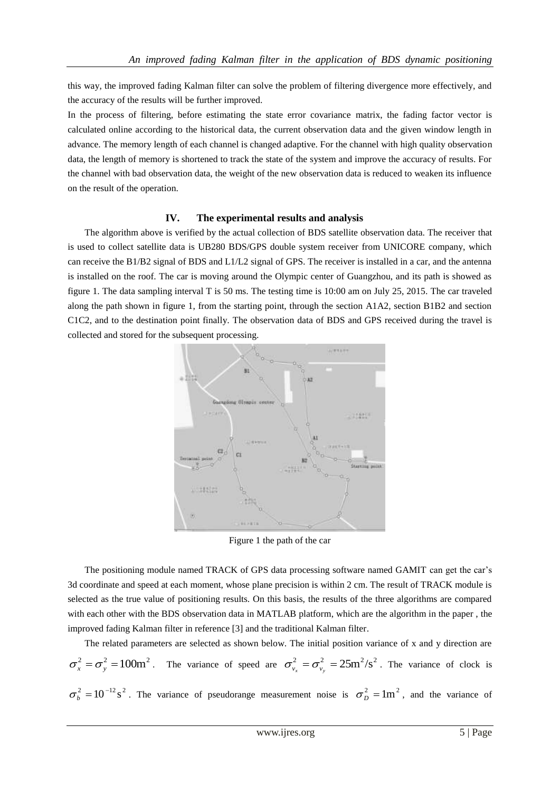this way, the improved fading Kalman filter can solve the problem of filtering divergence more effectively, and the accuracy of the results will be further improved.

In the process of filtering, before estimating the state error covariance matrix, the fading factor vector is calculated online according to the historical data, the current observation data and the given window length in advance. The memory length of each channel is changed adaptive. For the channel with high quality observation data, the length of memory is shortened to track the state of the system and improve the accuracy of results. For the channel with bad observation data, the weight of the new observation data is reduced to weaken its influence on the result of the operation.

### **IV. The experimental results and analysis**

The algorithm above is verified by the actual collection of BDS satellite observation data. The receiver that is used to collect satellite data is UB280 BDS/GPS double system receiver from UNICORE company, which can receive the B1/B2 signal of BDS and L1/L2 signal of GPS. The receiver is installed in a car, and the antenna is installed on the roof. The car is moving around the Olympic center of Guangzhou, and its path is showed as figure 1. The data sampling interval T is 50 ms. The testing time is 10:00 am on July 25, 2015. The car traveled along the path shown in figure 1, from the starting point, through the section A1A2, section B1B2 and section C1C2, and to the destination point finally. The observation data of BDS and GPS received during the travel is collected and stored for the subsequent processing.



Figure 1 the path of the car

The positioning module named TRACK of GPS data processing software named GAMIT can get the car's 3d coordinate and speed at each moment, whose plane precision is within 2 cm. The result of TRACK module is selected as the true value of positioning results. On this basis, the results of the three algorithms are compared with each other with the BDS observation data in MATLAB platform, which are the algorithm in the paper, the improved fading Kalman filter in reference [3] and the traditional Kalman filter.

The related parameters are selected as shown below. The initial position variance of x and y direction are  $\sigma_x^2 = \sigma_y^2 = 100 \text{m}^2$ . The variance of speed are  $\sigma_{v_x}^2 = \sigma_{v_y}^2 = 25 \text{m}^2/\text{s}^2$ . The variance of clock is  $\sigma_b^2 = 10^{-12} s^2$ . The variance of pseudorange measurement noise is  $\sigma_b^2 = 1 m^2$ , and the variance of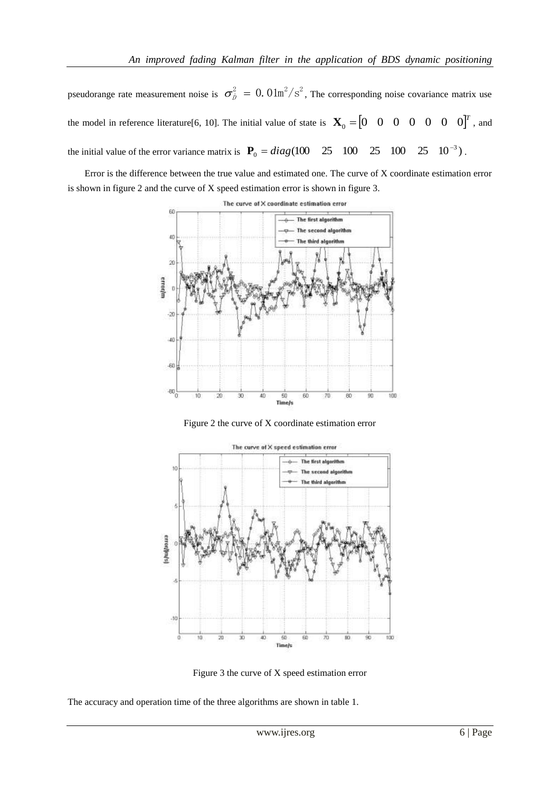pseudorange rate measurement noise is  $\sigma_{\dot{p}}^2 = 0.01 \text{m}^2/\text{s}^2$ , The corresponding noise covariance matrix use the model in reference literature[6, 10]. The initial value of state is  $\mathbf{X}_0 = \begin{bmatrix} 0 & 0 & 0 & 0 & 0 & 0 & 0 \end{bmatrix}^T$ , and the initial value of the error variance matrix is  $P_0 = diag(100 \quad 25 \quad 100 \quad 25 \quad 100 \quad 25 \quad 10^{-3})$  $P_0 = diag(100 \quad 25 \quad 100 \quad 25 \quad 100 \quad 25 \quad 10^{-3})$ .

Error is the difference between the true value and estimated one. The curve of X coordinate estimation error is shown in figure 2 and the curve of X speed estimation error is shown in figure 3.







Figure 3 the curve of X speed estimation error

The accuracy and operation time of the three algorithms are shown in table 1.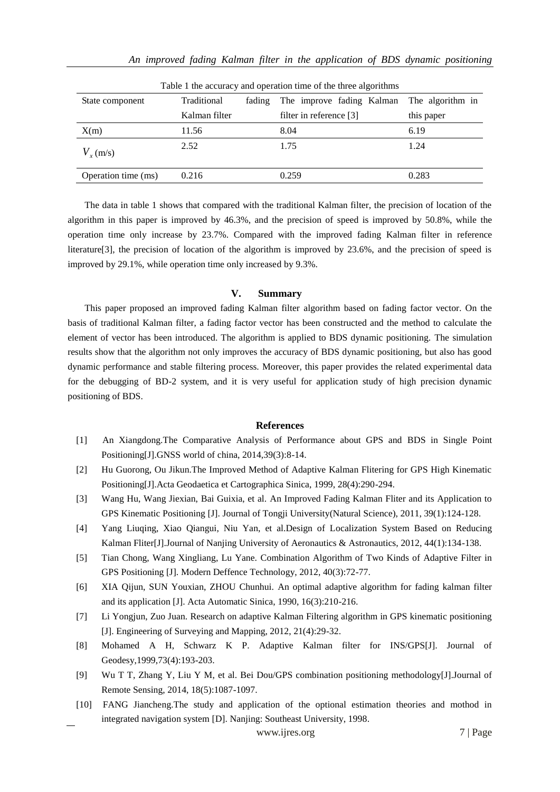| I able I the accuracy and operation time of the three algorithms |               |                                     |                  |
|------------------------------------------------------------------|---------------|-------------------------------------|------------------|
| State component                                                  | Traditional   | The improve fading Kalman<br>fading | The algorithm in |
|                                                                  | Kalman filter | filter in reference [3]             | this paper       |
| X(m)                                                             | 11.56         | 8.04                                | 6.19             |
| $V_{r}$ (m/s)                                                    | 2.52          | 1.75                                | 1.24             |
| Operation time (ms)                                              | 0.216         | 0.259                               | 0.283            |

Table 1 the accuracy and operation time of the three algorithms

The data in table 1 shows that compared with the traditional Kalman filter, the precision of location of the algorithm in this paper is improved by 46.3%, and the precision of speed is improved by 50.8%, while the operation time only increase by 23.7%. Compared with the improved fading Kalman filter in reference literature[3], the precision of location of the algorithm is improved by 23.6%, and the precision of speed is improved by 29.1%, while operation time only increased by 9.3%.

#### **V. Summary**

This paper proposed an improved fading Kalman filter algorithm based on fading factor vector. On the basis of traditional Kalman filter, a fading factor vector has been constructed and the method to calculate the element of vector has been introduced. The algorithm is applied to BDS dynamic positioning. The simulation results show that the algorithm not only improves the accuracy of BDS dynamic positioning, but also has good dynamic performance and stable filtering process. Moreover, this paper provides the related experimental data for the debugging of BD-2 system, and it is very useful for application study of high precision dynamic positioning of BDS.

#### **References**

- [1] An Xiangdong.The Comparative Analysis of Performance about GPS and BDS in Single Point Positioning[J].GNSS world of china, 2014,39(3):8-14.
- [2] Hu Guorong, Ou Jikun.The Improved Method of Adaptive Kalman Flitering for GPS High Kinematic Positioning[J].Acta Geodaetica et Cartographica Sinica, 1999, 28(4):290-294.
- [3] Wang Hu, Wang Jiexian, Bai Guixia, et al. An Improved Fading Kalman Fliter and its Application to GPS Kinematic Positioning [J]. Journal of Tongji University(Natural Science), 2011, 39(1):124-128.
- [4] Yang Liuqing, Xiao Qiangui, Niu Yan, et al.Design of Localization System Based on Reducing Kalman Fliter[J].Journal of Nanjing University of Aeronautics & Astronautics, 2012, 44(1):134-138.
- [5] Tian Chong, Wang Xingliang, Lu Yane. Combination Algorithm of Two Kinds of Adaptive Filter in GPS Positioning [J]. Modern Deffence Technology, 2012, 40(3):72-77.
- [6] XIA Qijun, SUN Youxian, ZHOU Chunhui. An optimal adaptive algorithm for fading kalman filter and its application [J]. Acta Automatic Sinica, 1990, 16(3):210-216.
- [7] Li Yongjun, Zuo Juan. Research on adaptive Kalman Filtering algorithm in GPS kinematic positioning [J]. Engineering of Surveying and Mapping, 2012, 21(4):29-32.
- [8] Mohamed A H, Schwarz K P. Adaptive Kalman filter for INS/GPS[J]. Journal of Geodesy,1999,73(4):193-203.
- [9] Wu T T, Zhang Y, Liu Y M, et al. Bei Dou/GPS combination positioning methodology[J].Journal of Remote Sensing, 2014, 18(5):1087-1097.
- [10] FANG Jiancheng.The study and application of the optional estimation theories and mothod in integrated navigation system [D]. Nanjing: Southeast University, 1998.